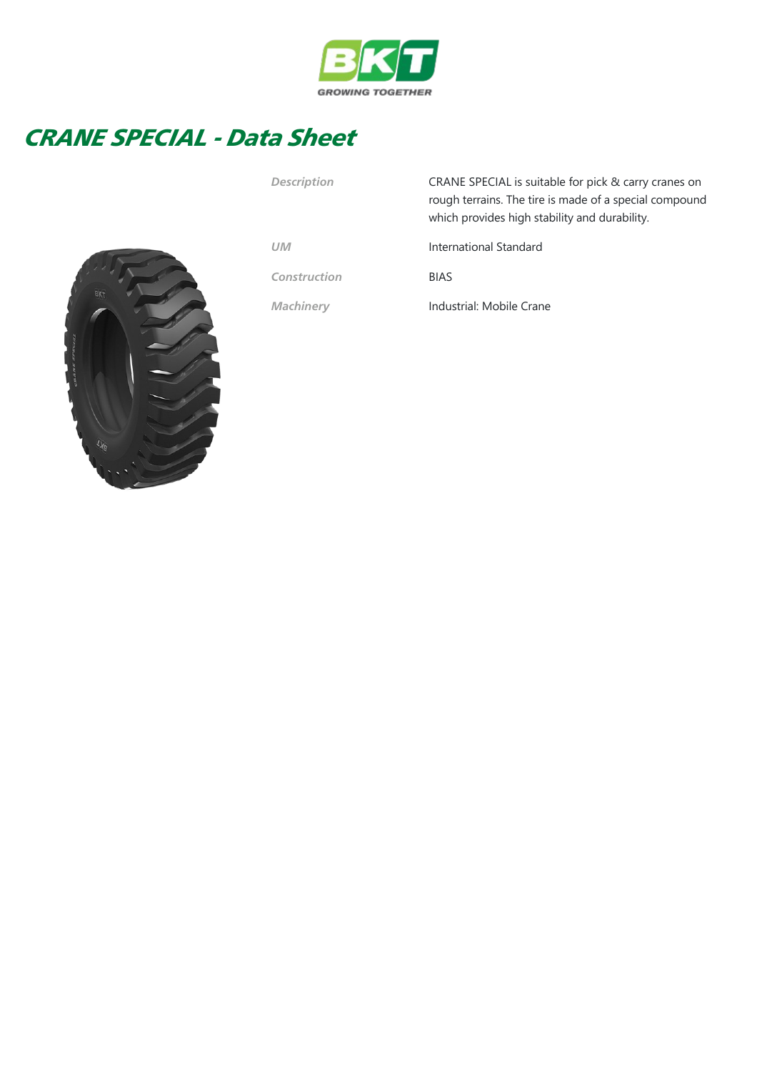

## CRANE SPECIAL - Data Sheet



| <b>Description</b> | CRANE SPECIAL is suitable for pick & carry cranes on<br>rough terrains. The tire is made of a special compound<br>which provides high stability and durability. |
|--------------------|-----------------------------------------------------------------------------------------------------------------------------------------------------------------|
| <b>UM</b>          | International Standard                                                                                                                                          |
| Construction       | <b>BIAS</b>                                                                                                                                                     |
| <b>Machinery</b>   | Industrial: Mobile Crane                                                                                                                                        |